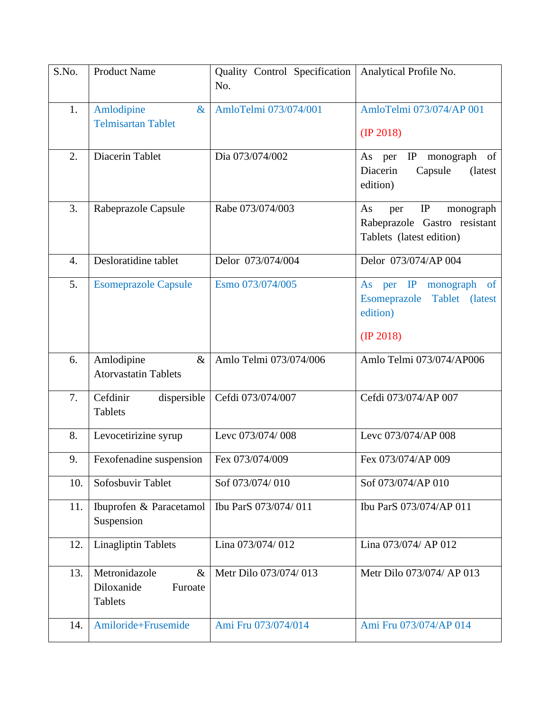| S.No.            | <b>Product Name</b>                                              | Quality Control Specification<br>No. | Analytical Profile No.                                                                          |
|------------------|------------------------------------------------------------------|--------------------------------------|-------------------------------------------------------------------------------------------------|
| 1.               | Amlodipine<br>$\&$<br><b>Telmisartan Tablet</b>                  | AmloTelmi 073/074/001                | AmloTelmi 073/074/AP 001<br>$(\text{IP } 2018)$                                                 |
| 2.               | Diacerin Tablet                                                  | Dia 073/074/002                      | IP<br>monograph<br>As<br>of<br>per<br>Diacerin<br>Capsule<br>(latest<br>edition)                |
| 3.               | Rabeprazole Capsule                                              | Rabe 073/074/003                     | IP<br>As<br>monograph<br>per<br>Rabeprazole Gastro resistant<br>Tablets (latest edition)        |
| $\overline{4}$ . | Desloratidine tablet                                             | Delor 073/074/004                    | Delor 073/074/AP 004                                                                            |
| 5.               | <b>Esomeprazole Capsule</b>                                      | Esmo 073/074/005                     | As per IP<br>monograph<br><sub>of</sub><br>Esomeprazole Tablet (latest<br>edition)<br>(IP 2018) |
| 6.               | Amlodipine<br>$\&$<br><b>Atorvastatin Tablets</b>                | Amlo Telmi 073/074/006               | Amlo Telmi 073/074/AP006                                                                        |
| 7.               | Cefdinir<br>dispersible<br><b>Tablets</b>                        | Cefdi 073/074/007                    | Cefdi 073/074/AP 007                                                                            |
| 8.               | Levocetirizine syrup                                             | Levc 073/074/008                     | Levc 073/074/AP 008                                                                             |
| 9.               | Fexofenadine suspension                                          | Fex 073/074/009                      | Fex 073/074/AP 009                                                                              |
| 10.              | Sofosbuvir Tablet                                                | Sof 073/074/010                      | Sof 073/074/AP 010                                                                              |
| 11.              | Ibuprofen & Paracetamol<br>Suspension                            | Ibu ParS 073/074/011                 | Ibu ParS 073/074/AP 011                                                                         |
| 12.              | <b>Linagliptin Tablets</b>                                       | Lina 073/074/012                     | Lina 073/074/ AP 012                                                                            |
| 13.              | Metronidazole<br>$\&$<br>Diloxanide<br>Furoate<br><b>Tablets</b> | Metr Dilo 073/074/013                | Metr Dilo 073/074/ AP 013                                                                       |
| 14.              | Amiloride+Frusemide                                              | Ami Fru 073/074/014                  | Ami Fru 073/074/AP 014                                                                          |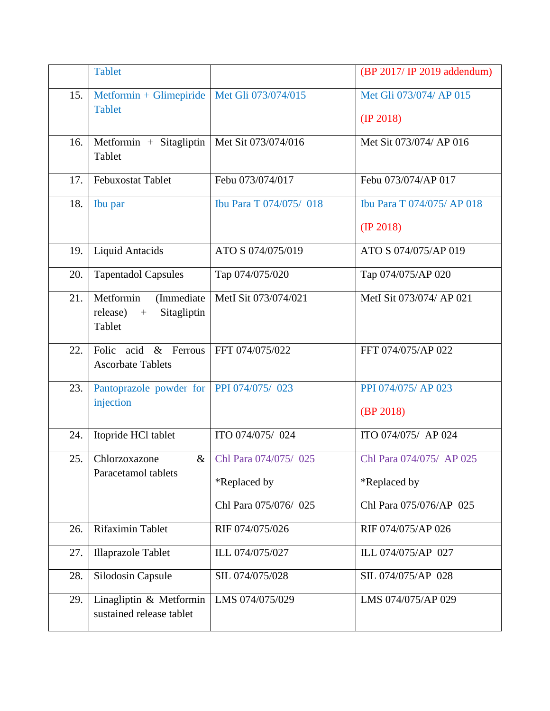|     | <b>Tablet</b>                                                                    |                                                                | (BP 2017/ IP 2019 addendum)                                         |
|-----|----------------------------------------------------------------------------------|----------------------------------------------------------------|---------------------------------------------------------------------|
| 15. | Metformin + Glimepiride<br><b>Tablet</b>                                         | Met Gli 073/074/015                                            | Met Gli 073/074/ AP 015<br>$(\text{IP } 2018)$                      |
| 16. | Metformin + Sitagliptin<br>Tablet                                                | Met Sit 073/074/016                                            | Met Sit 073/074/ AP 016                                             |
| 17. | <b>Febuxostat Tablet</b>                                                         | Febu 073/074/017                                               | Febu 073/074/AP 017                                                 |
| 18. | Ibu par                                                                          | Ibu Para T 074/075/ 018                                        | Ibu Para T 074/075/ AP 018<br>(IP 2018)                             |
| 19. | <b>Liquid Antacids</b>                                                           | ATO S 074/075/019                                              | ATO S 074/075/AP 019                                                |
| 20. | <b>Tapentadol Capsules</b>                                                       | Tap 074/075/020                                                | Tap 074/075/AP 020                                                  |
| 21. | Metformin<br>(Immediate<br>Sitagliptin<br>release)<br>$\boldsymbol{+}$<br>Tablet | MetI Sit 073/074/021                                           | MetI Sit 073/074/ AP 021                                            |
| 22. | acid & Ferrous<br>Folic<br><b>Ascorbate Tablets</b>                              | FFT 074/075/022                                                | FFT 074/075/AP 022                                                  |
| 23. | Pantoprazole powder for<br>injection                                             | PPI 074/075/ 023                                               | PPI 074/075/ AP 023<br>(BP 2018)                                    |
| 24. | Itopride HCl tablet                                                              | ITO 074/075/ 024                                               | ITO 074/075/ AP 024                                                 |
| 25. | Chlorzoxazone<br>$\&$<br>Paracetamol tablets                                     | Chl Para 074/075/ 025<br>*Replaced by<br>Chl Para 075/076/ 025 | Chl Para 074/075/ AP 025<br>*Replaced by<br>Chl Para 075/076/AP 025 |
| 26. | Rifaximin Tablet                                                                 | RIF 074/075/026                                                | RIF 074/075/AP 026                                                  |
| 27. | <b>Illaprazole Tablet</b>                                                        | ILL 074/075/027                                                | ILL 074/075/AP 027                                                  |
| 28. | Silodosin Capsule                                                                | SIL 074/075/028                                                | SIL 074/075/AP 028                                                  |
| 29. | Linagliptin & Metformin<br>sustained release tablet                              | LMS 074/075/029                                                | LMS 074/075/AP 029                                                  |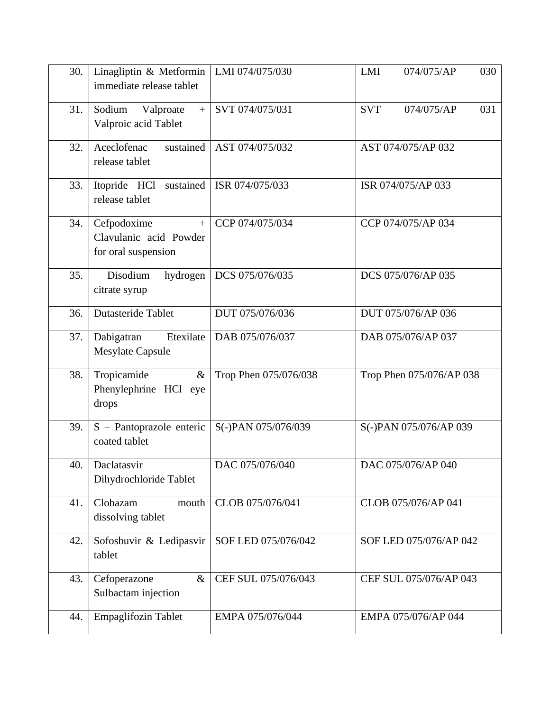| 30. | Linagliptin & Metformin<br>immediate release tablet                 | LMI 074/075/030       | LMI<br>030<br>074/075/AP        |
|-----|---------------------------------------------------------------------|-----------------------|---------------------------------|
| 31. | Sodium<br>Valproate<br>$+$<br>Valproic acid Tablet                  | SVT 074/075/031       | <b>SVT</b><br>031<br>074/075/AP |
| 32. | Aceclofenac<br>sustained<br>release tablet                          | AST 074/075/032       | AST 074/075/AP 032              |
| 33. | Itopride HCl<br>sustained<br>release tablet                         | ISR 074/075/033       | ISR 074/075/AP 033              |
| 34. | Cefpodoxime<br>$+$<br>Clavulanic acid Powder<br>for oral suspension | CCP 074/075/034       | CCP 074/075/AP 034              |
| 35. | Disodium<br>hydrogen<br>citrate syrup                               | DCS 075/076/035       | DCS 075/076/AP 035              |
| 36. | <b>Dutasteride Tablet</b>                                           | DUT 075/076/036       | DUT 075/076/AP 036              |
| 37. | Etexilate<br>Dabigatran<br><b>Mesylate Capsule</b>                  | DAB 075/076/037       | DAB 075/076/AP 037              |
| 38. | Tropicamide<br>$\&$<br>Phenylephrine HCl eye<br>drops               | Trop Phen 075/076/038 | Trop Phen 075/076/AP 038        |
| 39. | S - Pantoprazole enteric<br>coated tablet                           | S(-)PAN 075/076/039   | S(-)PAN 075/076/AP 039          |
| 40. | Daclatasvir<br>Dihydrochloride Tablet                               | DAC 075/076/040       | DAC 075/076/AP 040              |
| 41. | Clobazam<br>mouth<br>dissolving tablet                              | CLOB 075/076/041      | CLOB 075/076/AP 041             |
| 42. | Sofosbuvir & Ledipasvir<br>tablet                                   | SOF LED 075/076/042   | SOF LED 075/076/AP 042          |
| 43. | $\&$<br>Cefoperazone<br>Sulbactam injection                         | CEF SUL 075/076/043   | CEF SUL 075/076/AP 043          |
| 44. | Empaglifozin Tablet                                                 | EMPA 075/076/044      | EMPA 075/076/AP 044             |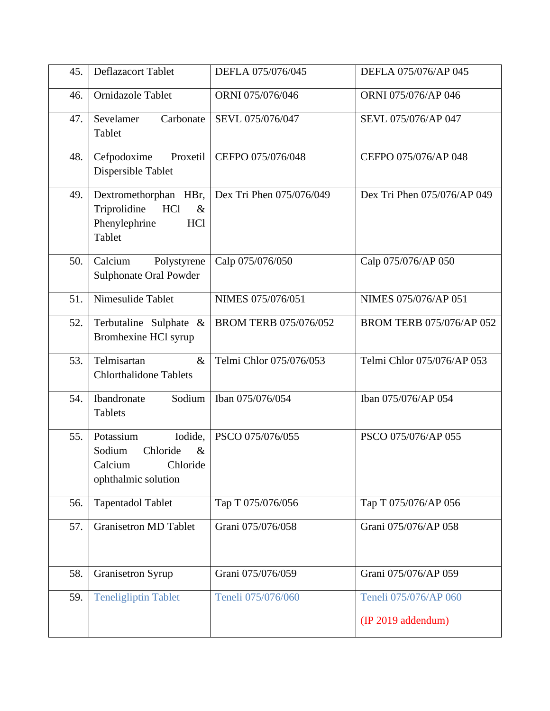| 45. | Deflazacort Tablet                                                                               | DEFLA 075/076/045            | DEFLA 075/076/AP 045                        |
|-----|--------------------------------------------------------------------------------------------------|------------------------------|---------------------------------------------|
| 46. | Ornidazole Tablet                                                                                | ORNI 075/076/046             | ORNI 075/076/AP 046                         |
| 47. | Sevelamer<br>Carbonate<br>Tablet                                                                 | SEVL 075/076/047             | SEVL 075/076/AP 047                         |
| 48. | Cefpodoxime<br>Proxetil<br>Dispersible Tablet                                                    | CEFPO 075/076/048            | CEFPO 075/076/AP 048                        |
| 49. | Dextromethorphan HBr,<br>Triprolidine<br>HCl<br>$\&$<br>Phenylephrine<br>HCl<br>Tablet           | Dex Tri Phen 075/076/049     | Dex Tri Phen 075/076/AP 049                 |
| 50. | Calcium<br>Polystyrene<br>Sulphonate Oral Powder                                                 | Calp 075/076/050             | Calp 075/076/AP 050                         |
| 51. | Nimesulide Tablet                                                                                | NIMES 075/076/051            | NIMES 075/076/AP 051                        |
| 52. | Terbutaline Sulphate &<br>Bromhexine HCl syrup                                                   | <b>BROM TERB 075/076/052</b> | BROM TERB 075/076/AP 052                    |
| 53. | Telmisartan<br>$\&$<br><b>Chlorthalidone Tablets</b>                                             | Telmi Chlor 075/076/053      | Telmi Chlor 075/076/AP 053                  |
| 54. | Ibandronate<br>Sodium<br><b>Tablets</b>                                                          | Iban 075/076/054             | Iban 075/076/AP 054                         |
| 55. | Potassium<br>Iodide,<br>Sodium<br>Chloride<br>$\&$<br>Calcium<br>Chloride<br>ophthalmic solution | PSCO 075/076/055             | PSCO 075/076/AP 055                         |
| 56. | Tapentadol Tablet                                                                                | Тар Т 075/076/056            | Тар Т 075/076/АР 056                        |
| 57. | <b>Granisetron MD Tablet</b>                                                                     | Grani 075/076/058            | Grani 075/076/AP 058                        |
| 58. | <b>Granisetron Syrup</b>                                                                         | Grani 075/076/059            | Grani 075/076/AP 059                        |
| 59. | <b>Teneligliptin Tablet</b>                                                                      | Teneli 075/076/060           | Teneli 075/076/AP 060<br>(IP 2019 addendum) |